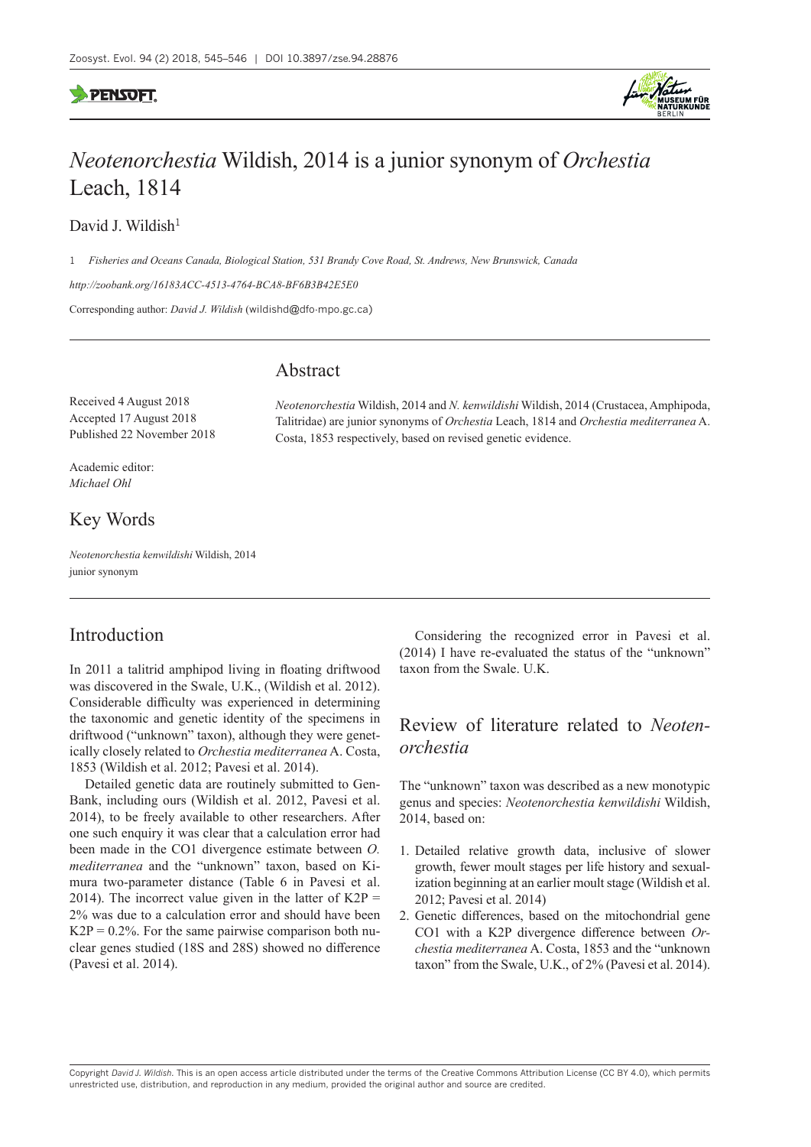

# *Neotenorchestia* Wildish, 2014 is a junior synonym of *Orchestia* Leach, 1814

David J. Wildish<sup>1</sup>

1 *Fisheries and Oceans Canada, Biological Station, 531 Brandy Cove Road, St. Andrews, New Brunswick, Canada*

*<http://zoobank.org/16183ACC-4513-4764-BCA8-BF6B3B42E5E0>*

Corresponding author: *David J. Wildish* ([wildishd@dfo-mpo.gc.ca\)](mailto:wildishd@dfo-mpo.gc.ca)

### Abstract

Received 4 August 2018 Accepted 17 August 2018 Published 22 November 2018

Academic editor: *Michael Ohl*

# Key Words

*Neotenorchestia kenwildishi* Wildish, 2014 junior synonym

# Introduction

In 2011 a talitrid amphipod living in floating driftwood was discovered in the Swale, U.K., (Wildish et al. 2012). Considerable difficulty was experienced in determining the taxonomic and genetic identity of the specimens in driftwood ("unknown" taxon), although they were genetically closely related to *Orchestia mediterranea* A. Costa, 1853 (Wildish et al. 2012; Pavesi et al. 2014).

Detailed genetic data are routinely submitted to Gen-Bank, including ours (Wildish et al. 2012, Pavesi et al. 2014), to be freely available to other researchers. After one such enquiry it was clear that a calculation error had been made in the CO1 divergence estimate between *O. mediterranea* and the "unknown" taxon, based on Kimura two-parameter distance (Table 6 in Pavesi et al. 2014). The incorrect value given in the latter of  $K2P =$ 2% was due to a calculation error and should have been  $K2P = 0.2\%$ . For the same pairwise comparison both nuclear genes studied (18S and 28S) showed no difference (Pavesi et al. 2014).

*Neotenorchestia* Wildish, 2014 and *N. kenwildishi* Wildish, 2014 (Crustacea, Amphipoda, Talitridae) are junior synonyms of *Orchestia* Leach, 1814 and *Orchestia mediterranea* A. Costa, 1853 respectively, based on revised genetic evidence.

> Considering the recognized error in Pavesi et al. (2014) I have re-evaluated the status of the "unknown" taxon from the Swale. U.K.

# Review of literature related to *Neotenorchestia*

The "unknown" taxon was described as a new monotypic genus and species: *Neotenorchestia kenwildishi* Wildish, 2014, based on:

- 1. Detailed relative growth data, inclusive of slower growth, fewer moult stages per life history and sexualization beginning at an earlier moult stage (Wildish et al. 2012; Pavesi et al. 2014)
- 2. Genetic differences, based on the mitochondrial gene CO1 with a K2P divergence difference between *Orchestia mediterranea* A. Costa, 1853 and the "unknown taxon" from the Swale, U.K., of 2% (Pavesi et al. 2014).

Copyright *David J. Wildish.* This is an open access article distributed under the terms of the [Creative Commons Attribution License \(CC BY 4.0\)](http://creativecommons.org/licenses/by/4.0/), which permits unrestricted use, distribution, and reproduction in any medium, provided the original author and source are credited.